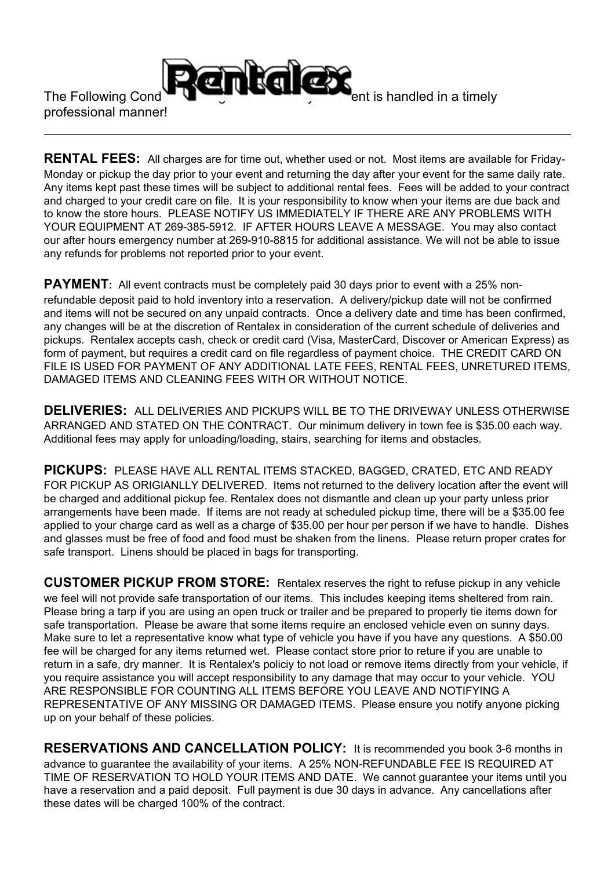

**RENTAL FEES:** All charges are for time out, whether used or not. Most items are available for Friday-Monday or pickup the day prior to your event and returning the day after your event for the same daily rate. Any items kept past these times will be subject to additional rental fees. Fees will be added to your contract and charged to your credit care on file. It is your responsibility to know when your items are due back and to know the store hours. PLEASE NOTIFY US IMMEDIATELY IF THERE ARE ANY PROBLEMS WITH YOUR EQUIPMENT AT 269-385-5912. IF AFTER HOURS LEAVE A MESSAGE. You may also contact our after hours emergency number at 269-910-8815 for additional assistance. We will not be able to issue any refunds for problems not reported prior to your event.

**PAYMENT:** All event contracts must be completely paid 30 days prior to event with a 25% nonrefundable deposit paid to hold inventory into a reservation. A delivery/pickup date will not be confirmed and items will not be secured on any unpaid contracts. Once a delivery date and time has been confirmed, any changes will be at the discretion of Rentalex in consideration of the current schedule of deliveries and pickups. Rentalex accepts cash, check or credit card (Visa, MasterCard, Discover or American Express) as form of payment, but requires a credit card on file regardless of payment choice. THE CREDIT CARD ON FILE IS USED FOR PAYMENT OF ANY ADDITIONAL LATE FEES, RENTAL FEES, UNRETURED ITEMS, DAMAGED ITEMS AND CLEANING FEES WITH OR WITHOUT NOTICE.

**DELIVERIES:** ALL DELIVERIES AND PICKUPS WILL BE TO THE DRIVEWAY UNLESS OTHERWISE ARRANGED AND STATED ON THE CONTRACT. Our minimum delivery in town fee is \$35.00 each way. Additional fees may apply for unloading/loading, stairs, searching for items and obstacles.

**PICKUPS:** PLEASE HAVE ALL RENTAL ITEMS STACKED, BAGGED, CRATED, ETC AND READY FOR PICKUP AS ORIGIANLLY DELIVERED. Items not returned to the delivery location after the event will be charged and additional pickup fee. Rentalex does not dismantle and clean up your party unless prior arrangements have been made. If items are not ready at scheduled pickup time, there will be a \$35.00 fee applied to your charge card as well as a charge of \$35.00 per hour per person if we have to handle. Dishes and glasses must be free of food and food must be shaken from the linens. Please return proper crates for safe transport. Linens should be placed in bags for transporting.

**CUSTOMER PICKUP FROM STORE:** Rentalex reserves the right to refuse pickup in any vehicle we feel will not provide safe transportation of our items. This includes keeping items sheltered from rain. Please bring a tarp if you are using an open truck or trailer and be prepared to properly tie items down for safe transportation. Please be aware that some items require an enclosed vehicle even on sunny days. Make sure to let a representative know what type of vehicle you have if you have any questions. A \$50.00 fee will be charged for any items returned wet. Please contact store prior to reture if you are unable to return in a safe, dry manner. It is Rentalex's policiy to not load or remove items directly from your vehicle, if you require assistance you will accept responsibility to any damage that may occur to your vehicle. YOU ARE RESPONSIBLE FOR COUNTING ALL ITEMS BEFORE YOU LEAVE AND NOTIFYING A REPRESENTATIVE OF ANY MISSING OR DAMAGED ITEMS. Please ensure you notify anyone picking up on your behalf of these policies.

**RESERVATIONS AND CANCELLATION POLICY:** It is recommended you book 3-6 months in advance to guarantee the availability of your items. A 25% NON-REFUNDABLE FEE IS REQUIRED AT TIME OF RESERVATION TO HOLD YOUR ITEMS AND DATE. We cannot guarantee your items until you have a reservation and a paid deposit. Full payment is due 30 days in advance. Any cancellations after these dates will be charged 100% of the contract.